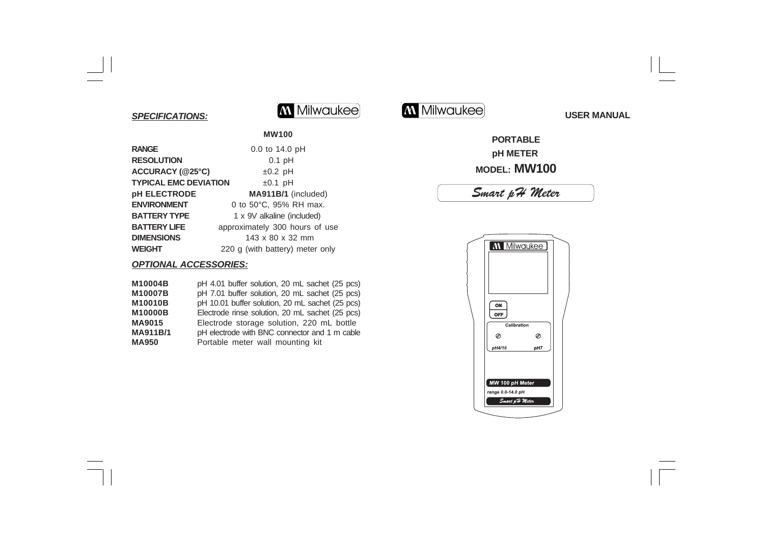### *SPECIFICATIONS:*



# **M** Milwaukee USER MANUAL

### **PORTABLE pH METER MODEL: MW100**

## *Smart pH Meter*



**MW100**

| <b>RANGE</b>                 | 0.0 to 14.0 pH                  |
|------------------------------|---------------------------------|
| <b>RESOLUTION</b>            | $0.1$ pH                        |
| ACCURACY (@25°C)             | $±0.2$ pH                       |
| <b>TYPICAL EMC DEVIATION</b> | $±0.1$ pH                       |
| pH ELECTRODE                 | MA911B/1 (included)             |
| <b>ENVIRONMENT</b>           | 0 to 50°C, 95% RH max.          |
| <b>BATTERY TYPE</b>          | 1 x 9V alkaline (included)      |
| <b>BATTERY LIFE</b>          | approximately 300 hours of use  |
| <b>DIMENSIONS</b>            | 143 x 80 x 32 mm                |
| <b>WEIGHT</b>                | 220 g (with battery) meter only |

### *OPTIONAL ACCESSORIES:*

| M10004B         | pH 4.01 buffer solution, 20 mL sachet (25 pcs)  |
|-----------------|-------------------------------------------------|
| M10007B         | pH 7.01 buffer solution, 20 mL sachet (25 pcs)  |
| M10010B         | pH 10.01 buffer solution, 20 mL sachet (25 pcs) |
| M10000B         | Electrode rinse solution, 20 mL sachet (25 pcs) |
| <b>MA9015</b>   | Electrode storage solution, 220 mL bottle       |
| <b>MA911B/1</b> | pH electrode with BNC connector and 1 m cable   |
| <b>MA950</b>    | Portable meter wall mounting kit                |